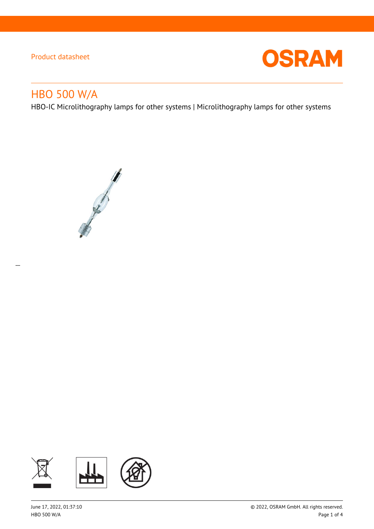

# HBO 500 W/A

 $\overline{a}$ 

HBO-IC Microlithography lamps for other systems | Microlithography lamps for other systems



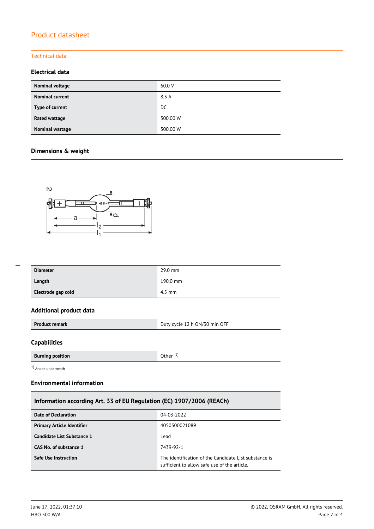#### Technical data

### **Electrical data**

| Nominal voltage        | 60.0 V   |
|------------------------|----------|
| <b>Nominal current</b> | 8.3 A    |
| Type of current        | DC.      |
| Rated wattage          | 500.00 W |
| <b>Nominal wattage</b> | 500.00 W |

### **Dimensions & weight**



| --- |  |  |
|-----|--|--|
|     |  |  |
|     |  |  |
|     |  |  |
|     |  |  |

| <b>Diameter</b>    | 29.0 mm  |
|--------------------|----------|
| Length             | 190.0 mm |
| Electrode gap cold | $4.5$ mm |

### **Additional product data**

| Duty cycle 12 h ON/30 min OFF<br><b>Product remark</b> |
|--------------------------------------------------------|
|--------------------------------------------------------|

#### **Capabilities**

**Burning position Burning position C Burning in the U Other** 1<sup>)</sup>

1) Anode underneath

#### **Environmental information**

### **Information according Art. 33 of EU Regulation (EC) 1907/2006 (REACh)**

| Date of Declaration               | 04-03-2022                                                                                            |
|-----------------------------------|-------------------------------------------------------------------------------------------------------|
| <b>Primary Article Identifier</b> | 4050300021089                                                                                         |
| Candidate List Substance 1        | Lead                                                                                                  |
| CAS No. of substance 1            | 7439-92-1                                                                                             |
| Safe Use Instruction              | The identification of the Candidate List substance is<br>sufficient to allow safe use of the article. |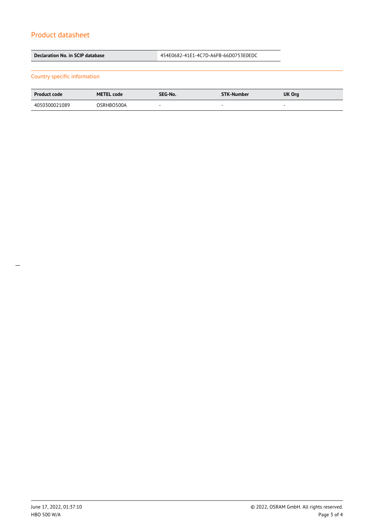| Declaration No. in SCIP database |                   |                          | 454E0682-41E1-4C7D-A6FB-66D0753E0EDC |                          |
|----------------------------------|-------------------|--------------------------|--------------------------------------|--------------------------|
| Country specific information     |                   |                          |                                      |                          |
| <b>Product code</b>              | <b>METEL code</b> | SEG-No.                  | <b>STK-Number</b>                    | UK Org                   |
| 4050300021089                    | OSRHBO500A        | $\overline{\phantom{a}}$ | ۰                                    | $\overline{\phantom{a}}$ |
|                                  |                   |                          |                                      |                          |